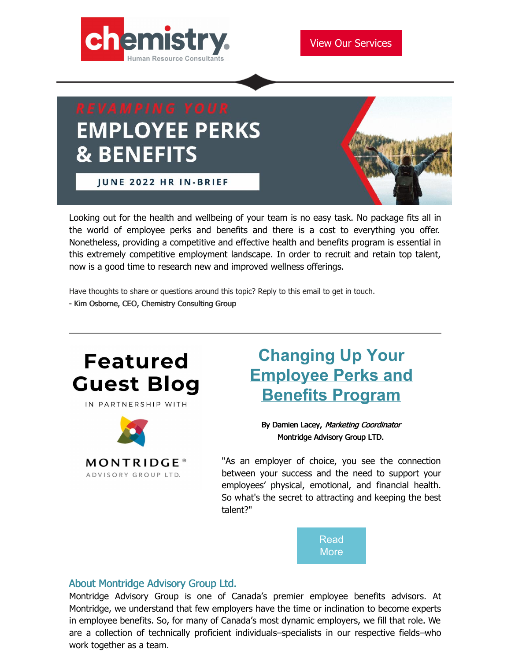

# **EMPLOYEE PERKS & BENEFITS**

**JUNE 2022 HR IN-BRIEF** 



Looking out for the health and wellbeing of your team is no easy task. No package fits all in the world of employee perks and benefits and there is a cost to everything you offer. Nonetheless, providing a competitive and effective health and benefits program is essential in this extremely competitive employment landscape. In order to recruit and retain top talent, now is a good time to research new and improved wellness offerings.

Have thoughts to share or questions around this topic? Reply to this email to get in touch.

- Kim Osborne, CEO, Chemistry Consulting Group



IN PARTNERSHIP WITH



## **Changing Up Your [Employee](https://www.chemistryconsulting.ca/blog/) Perks and Benefits Program**

By Damien Lacey, Marketing Coordinator Montridge Advisory Group LTD.

"As an employer of choice, you see the connection between your success and the need to support your employees' physical, emotional, and financial health. So what's the secret to attracting and keeping the best talent?"



#### About Montridge Advisory Group Ltd.

Montridge Advisory Group is one of Canada's premier employee benefits advisors. At Montridge, we understand that few employers have the time or inclination to become experts in employee benefits. So, for many of Canada's most dynamic employers, we fill that role. We are a collection of technically proficient individuals–specialists in our respective fields–who work together as a team.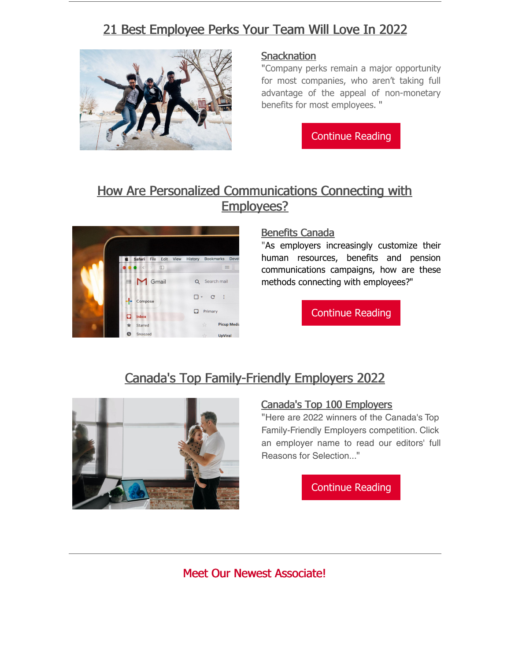## 21 Best [Employee](https://snacknation.com/blog/best-employee-perks/) Perks Your Team Will Love In 2022



#### **[Snacknation](https://snacknation.com/blog/best-employee-perks/)**

"Company perks remain a major opportunity for most companies, who aren't taking full advantage of the appeal of non-monetary benefits for most employees. "

[Continue](https://snacknation.com/blog/best-employee-perks/) Reading

### How Are Personalized [Communications](https://www.benefitscanada.com/archives_/benefits-canada-archive/how-are-personalized-communications-connecting-with-employees/) Connecting with Employees?



#### [Benefits](https://www.benefitscanada.com/news/bencan/top-5-hr-benefits-and-pension-stories-of-the-week-10/) Canada

"As employers increasingly customize their human resources, benefits and pension communications campaigns, how are these methods connecting with employees?"

[Continue](https://www.benefitscanada.com/archives_/benefits-canada-archive/how-are-personalized-communications-connecting-with-employees/) Reading

## Canada's Top [Family-Friendly](https://www.canadastop100.com/family/) Employers 2022



#### Canada's Top 100 [Employers](https://www.canadastop100.com/family/)

"Here are 2022 winners of the Canada's Top Family-Friendly Employers competition. Click an employer name to read our editors' full Reasons for Selection..."

[Continue](https://www.canadastop100.com/family/) Reading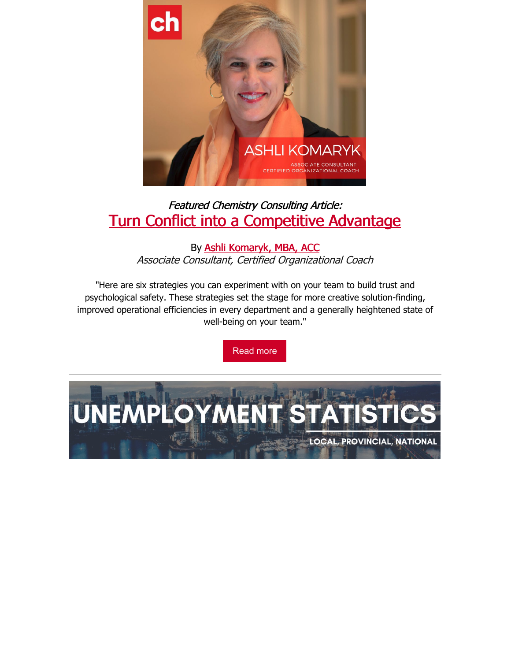

## Featured Chemistry Consulting Article: Turn Conflict into a [Competitive](https://www.chemistryconsulting.ca/blog/) Advantage

By Ashli [Komaryk,](https://www.chemistryconsulting.ca/why-chemistry/ashli-komaryk/) MBA, ACC Associate Consultant, Certified Organizational Coach

"Here are six strategies you can experiment with on your team to build trust and psychological safety. These strategies set the stage for more creative solution-finding, improved operational efficiencies in every department and a generally heightened state of well-being on your team."

[Read](https://www.chemistryconsulting.ca/blog/) more